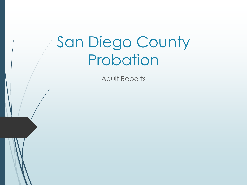Adult Reports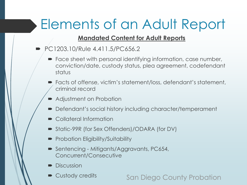## Elements of an Adult Report

#### **Mandated Content for Adult Reports**

- $\blacktriangleright$  PC1203.10/Rule 4.411.5/PC656.2
	- Face sheet with personal identifying information, case number, conviction/date, custody status, plea agreement, codefendant status
	- Facts of offense, victim's statement/loss, defendant's statement, criminal record
	- **Adjustment on Probation**
	- Defendant's social history including character/temperament
	- Collateral Information
	- Static-99R (for Sex Offenders)/ODARA (for DV)
	- **Probation Eligibility/Suitability**
	- Sentencing Mitigants/Aggravants, PC654, Concurrent/Consecutive
	- **Discussion** 
		- Custody credits **San Diego County Probation**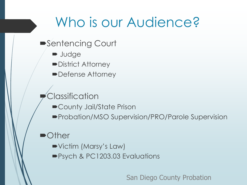#### Who is our Audience?

- ■Sentencing Court
	- **D** Judge
	- District Attorney
	- Defense Attorney

**Classification** 

- County Jail/State Prison
- Probation/MSO Supervision/PRO/Parole Supervision

#### •Other

- Victim (Marsy's Law)
- Psych & PC1203.03 Evaluations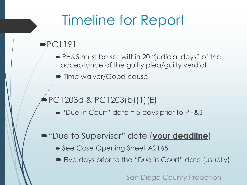## Timeline for Report

#### $\blacktriangleright$  PC1191

- PH&S must be set within 20 "judicial days" of the acceptance of the guilty plea/guilty verdict
- **Time waiver/Good cause**

#### PC1203d & PC1203(b)(1)(E)

 $\blacktriangleright$  "Due in Court" date = 5 days prior to PH&S

#### "Due to Supervisor" date (**your deadline**)

- See Case Opening Sheet A2165
- **Five days prior to the "Due in Court" date (usually)**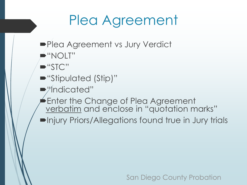## Plea Agreement

- **Plea Agreement vs Jury Verdict**
- "NOLT"
- "STC"
- "Stipulated (Stip)"
- "Indicated"
- **Enter the Change of Plea Agreement** verbatim and enclose in "quotation marks"
- Injury Priors/Allegations found true in Jury trials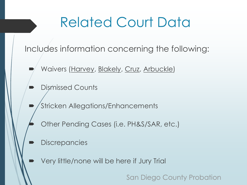### Related Court Data

Includes information concerning the following:

- Waivers (Harvey, Blakely, Cruz, Arbuckle)
- Dismissed Counts
- Stricken Allegations/Enhancements
	- Other Pending Cases (i.e. PH&S/SAR, etc.)
- **Discrepancies** 
	- Very little/none will be here if Jury Trial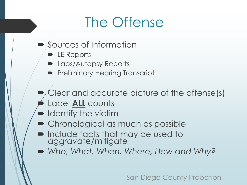#### The Offense

- **Sources of Information** 
	- **D** LE Reports
	- **D** Labs/Autopsy Reports
	- **Preliminary Hearing Transcript**
- Clear and accurate picture of the offense(s)
- Label **ALL** counts
- **IDENTIFY the victim**
- Chronological as much as possible
- **net include facts that may be used to** aggravate/mitigate
- *Who, What, When, Where, How and Why?*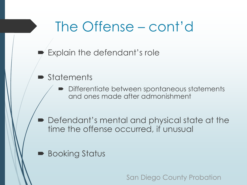#### The Offense – cont'd

- Explain the defendant's role
- **Statements** 
	- **Differentiate between spontaneous statements** and ones made after admonishment
- Defendant's mental and physical state at the time the offense occurred, if unusual
- **Booking Status**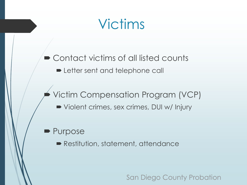### Victims

■ Contact victims of all listed counts

**Example 1** Letter sent and telephone call

#### Victim Compensation Program (VCP)

Violent crimes, sex crimes, DUI w/ Injury

#### • Purpose

**Restitution, statement, attendance**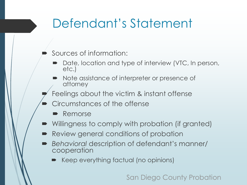#### Defendant's Statement

- Sources of information:
	- Date, location and type of interview (VTC, In person, etc.)
	- Note assistance of interpreter or presence of attorney
- Feelings about the victim & instant offense
- Circumstances of the offense
	- Remorse
- Willingness to comply with probation (if granted)
- Review general conditions of probation
- *Behavioral* description of defendant's manner/ cooperation
	- Keep everything factual (no opinions)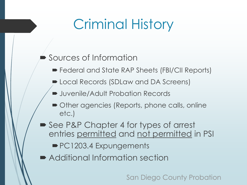## Criminal History

#### Sources of Information

- Federal and State RAP Sheets (FBI/CII Reports)
- **De Local Records (SDLaw and DA Screens)**
- **Demonstranger Juvenile/Adult Probation Records**
- Other agencies (Reports, phone calls, online etc.)
- See P&P Chapter 4 for types of arrest entries permitted and not permitted in PSI
	- PC1203.4 Expungements
- Additional Information section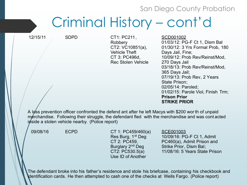#### Criminal History – cont'd

12/15/11 SDPD CT1: PC211, **Robbery** CT2: VC10851(a), Vehicle Theft CT 3: PC496d, Rec Stolen Vehicle SCD001002

01/03/12: PG-F Ct 1, Dism Bal 01/30/12: 3 Yrs Formal Prob, 180 Days Jail, Fine; 10/09/12: Prob Rev/Reinst/Mod, 270 Days Jail 03/18/13: Prob Rev/Reinst/Mod, 365 Days Jail; 07/19/13: Prob Rev, 2 Years State Prison; 02/05/14: Paroled; 01/02/15: Parole Viol, Finish Trm; **Prison Prior STRIKE PRIOR**

A loss prevention officer confronted the defend ant after he left Macys with \$200 wor th of unpaid merchandise. Following their struggle, the defendant fled with the merchandise and was cont acted inside a stolen vehicle nearby. (Police report)

09/08/16 ECPD CT 1: PC459/460(a) Res Burg, 1<sup>st</sup> Deg CT 2: PC459, Burglary 2<sup>nd</sup> Deg CT2: PC530.5(a) Use ID of Another

SCE001003

10/09/16: PG-F Ct 1, Admit PC460(a), Admit Prison and Strike Prior, Dism Bal; 11/08/16: 5 Years State Prison

The defendant broke into his father's residence and stole his briefcase, containing his checkbook and identification cards. He then attempted to cash one of the checks at Wells Fargo. (Police report)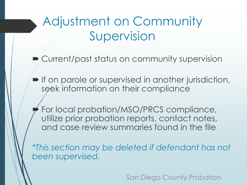Adjustment on Community Supervision

Current/past status on community supervision

**If on parole or supervised in another jurisdiction,** seek information on their compliance

 For local probation/MSO/PRCS compliance, utilize prior probation reports, contact notes, and case review summaries found in the file

*\*This section may be deleted if defendant has not been supervised.*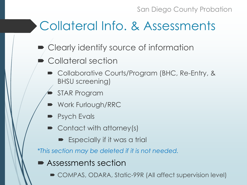#### Collateral Info. & Assessments

- Clearly identify source of information
- Collateral section
	- **Collaborative Courts/Program (BHC, Re-Entry, &** BHSU screening)
	- STAR Program
	- Work Furlough/RRC
	- **Psych Evals**
	- Contact with attorney(s)
		- Especially if it was a trial

*\*This section may be deleted if it is not needed.*

- Assessments section
	- COMPAS, ODARA, Static-99R (All affect supervision level)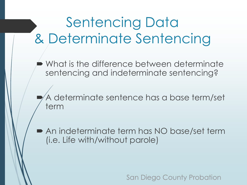## Sentencing Data & Determinate Sentencing

 What is the difference between determinate sentencing and indeterminate sentencing?

 A determinate sentence has a base term/set term

 An indeterminate term has NO base/set term (i.e. Life with/without parole)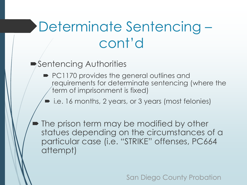## Determinate Sentencing – cont'd

#### ■Sentencing Authorities

- PC1170 provides the general outlines and requirements for determinate sentencing (where the term of imprisonment is fixed)
	- i.e. 16 months, 2 years, or 3 years (most felonies)

 The prison term may be modified by other statues depending on the circumstances of a particular case (i.e. "STRIKE" offenses, PC664 attempt)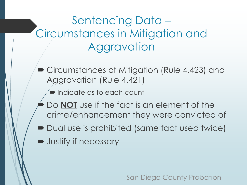#### Sentencing Data – Circumstances in Mitigation and **Aggravation**

- Circumstances of Mitigation (Rule 4.423) and Aggravation (Rule 4.421)
	- **Indicate as to each count**
	- Do **NOT** use if the fact is an element of the crime/enhancement they were convicted of
- Dual use is prohibited (same fact used twice)
- **D** Justify if necessary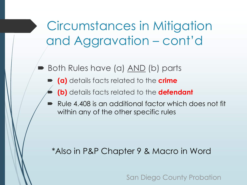Circumstances in Mitigation and Aggravation – cont'd

- Both Rules have (a) AND (b) parts
	- **(a)** details facts related to the **crime**
	- **(b)** details facts related to the **defendant**
	- Rule 4.408 is an additional factor which does not fit within any of the other specific rules

\*Also in P&P Chapter 9 & Macro in Word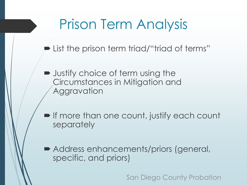### Prison Term Analysis

- **Example 13 Extern** triad/"triad of terms"
- **D** Justify choice of term using the Circumstances in Mitigation and **Aggravation**
- **If more than one count, justify each count** separately
- Address enhancements/priors (general, specific, and priors)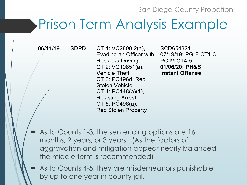#### Prison Term Analysis Example

06/11/19 SDPD CT 1: VC2800.2(a), Evading an Officer with Reckless Driving CT 2: VC10851(a), Vehicle Theft CT 3: PC496d, Rec Stolen Vehicle CT 4: PC148(a)(1), Resisting Arrest CT 5: PC496(a), Rec Stolen Property

SCD654321 07/19/19: PG-F CT1-3, PG-M CT4-5; **01/06/20: PH&S Instant Offense**

- As to Counts 1-3, the sentencing options are 16 months, 2 years, or 3 years. (As the factors of aggravation and mitigation appear nearly balanced, the middle term is recommended)
	- As to Counts 4-5, they are misdemeanors punishable by up to one year in county jail.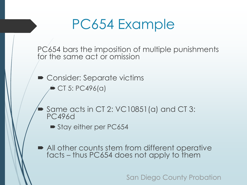#### PC654 Example

PC654 bars the imposition of multiple punishments for the same act or omission

**• Consider: Separate victims** 

CT 5: PC496(a)

 Same acts in CT 2: VC10851(a) and CT 3: PC496d

Stay either per PC654

 All other counts stem from different operative facts – thus PC654 does not apply to them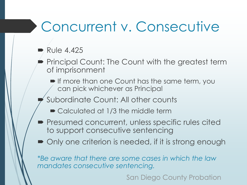### Concurrent v. Consecutive

#### $\blacktriangleright$  Rule 4.425

- Principal Count: The Count with the greatest term of imprisonment
	- **If more than one Count has the same term, you** can pick whichever as Principal
- Subordinate Count: All other counts
	- Calculated at 1/3 the middle term
- **Presumed concurrent, unless specific rules cited** to support consecutive sentencing
- Only one criterion is needed, if it is strong enough

*\*Be aware that there are some cases in which the law mandates consecutive sentencing.*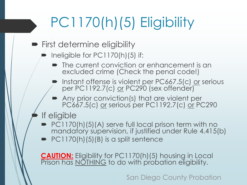# PC1170(h)(5) Eligibility

- **First determine eligibility** 
	- Ineligible for PC1170(h)(5) if:
		- The current conviction or enhancement is an excluded crime (Check the penal code!)
		- Instant offense is violent per PC667.5(c) <u>or</u> serious per PC1192.7(c) <u>or</u> PC290 (sex offender)
		- Any prior conviction(s) that are violent per PC667.5(c) <u>or</u> serious per PC1192.7(c) <u>or</u> PC290
	- If eligible
		- $\blacktriangleright$  PC1170(h)(5)(A) serve full local prison term with no mandatory supervision, if justified under Rule 4.415(b)
		- $\blacktriangleright$  PC1170(h)(5)(B) is a split sentence

**CAUTION:** Eligibility for PC1170(h)(5) housing in Local Prison has **NOTHING** to do with probation eligibility.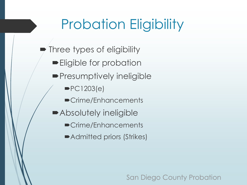## Probation Eligibility

- Three types of eligibility
	- **Eligible for probation**
	- **Presumptively ineligible** 
		- $\blacktriangleright$ PC1203(e)
		- Crime/Enhancements
	- Absolutely ineligible
		- Crime/Enhancements
		- Admitted priors (Strikes)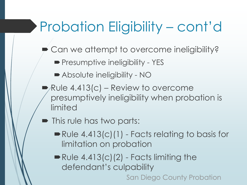## Probation Eligibility – cont'd

- Can we attempt to overcome ineligibility?
	- **Presumptive ineligibility YES**
	- Absolute ineligibility NO
- $\blacktriangleright$  Rule 4.413(c) Review to overcome presumptively ineligibility when probation is limited
- This rule has two parts:
	- Rule 4.413(c)(1) Facts relating to basis for limitation on probation
	- $\blacktriangleright$  Rule 4.413(c)(2) Facts limiting the defendant's culpability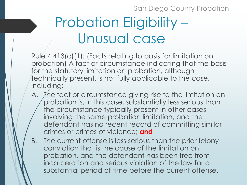# Probation Eligibility – Unusual case

Rule 4.413(c)(1): (Facts relating to basis for limitation on probation) A fact or circumstance indicating that the basis for the statutory limitation on probation, although technically present, is not fully applicable to the case, including:

- A. The fact or circumstance giving rise to the limitation on probation is, in this case, substantially less serious than the circumstance typically present in other cases involving the same probation limitation, and the defendant has no recent record of committing similar crimes or crimes of violence; **and**
- B. The current offense is less serious than the prior felony conviction that is the cause of the limitation on probation, and the defendant has been free from incarceration and serious violation of the law for a substantial period of time before the current offense.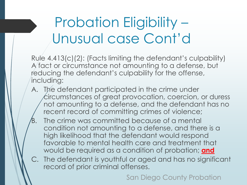### Probation Eligibility – Unusual case Cont'd

Rule 4.413(c)(2): (Facts limiting the defendant's culpability) A fact or circumstance not amounting to a defense, but reducing the defendant's culpability for the offense, including:

- A. The defendant participated in the crime under circumstances of great provocation, coercion, or duress not amounting to a defense, and the defendant has no recent record of committing crimes of violence;
- The crime was committed because of a mental condition not amounting to a defense, and there is a high likelihood that the defendant would respond favorable to mental health care and treatment that would be required as a condition of probation; **and**
- C. The defendant is youthful or aged and has no significant record of prior criminal offenses.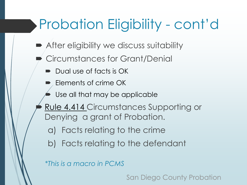## Probation Eligibility - cont'd

- **After eligibility we discuss suitability**
- Circumstances for Grant/Denial
	- Dual use of facts is OK
	- Elements of crime OK
	- Use all that may be applicable
	- Rule 4.414 Circumstances Supporting or Denying a grant of Probation.
		- a) Facts relating to the crime
		- b) Facts relating to the defendant

*\*This is a macro in PCMS*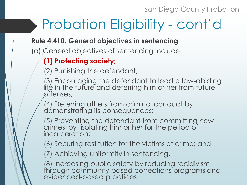# Probation Eligibility - cont'd

#### **Rule 4.410. General objectives in sentencing**

(a) General objectives of sentencing include:

#### **(1) Protecting society;**

(2) Punishing the defendant;

(3) Encouraging the defendant to lead a law-abiding life in the future and deterring him or her from future offenses;

(4) Deterring others from criminal conduct by demonstrating its consequences;

(5) Preventing the defendant from committing new crimes by isolating him or her for the period of incarceration;

(6) Securing restitution for the victims of crime; and

(7) Achieving uniformity in sentencing.

(8) Increasing public safety by reducing recidivism through community-based corrections programs and evidenced-based practices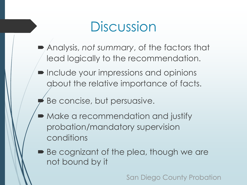#### Discussion

- Analysis, *not summary*, of the factors that lead logically to the recommendation.
- **Include your impressions and opinions** about the relative importance of facts.
	- Be concise, but persuasive.
- Make a recommendation and justify probation/mandatory supervision conditions
- Be cognizant of the plea, though we are not bound by it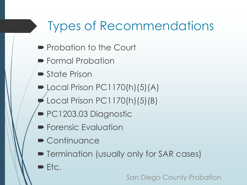#### Types of Recommendations

- **Probation to the Court**
- Formal Probation
- **State Prison**
- $\blacktriangleright$  Local Prison PC1170(h)(5)(A)
- Local Prison PC1170(h)(5)(B)
- PC1203.03 Diagnostic
- **Forensic Evaluation**
- Continuance
- **Fig. 3** Termination (usually only for SAR cases)
- $\blacktriangleright$  Etc.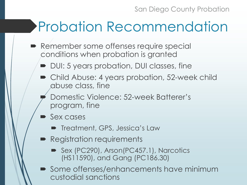## Probation Recommendation

- **Remember some offenses require special** conditions when probation is granted
	- DUI: 5 years probation, DUI classes, fine
	- Child Abuse: 4 years probation, 52-week child abuse class, fine
	- Domestic Violence: 52-week Batterer's program, fine
	- Sex cases
		- **Treatment, GPS, Jessica's Law**
	- **Registration requirements** 
		- Sex (PC290), Arson(PC457.1), Narcotics (HS11590), and Gang (PC186.30)
	- Some offenses/enhancements have minimum custodial sanctions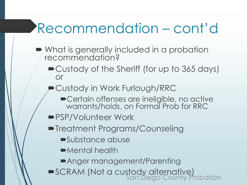# Recommendation – cont'd

- What is generally included in a probation recommendation?
	- Custody of the Sheriff (for up to 365 days) or
	- Custody in Work Furlough/RRC
		- **Certain offenses are ineligible, no active** warrants/holds, on Formal Prob for RRC
	- **PSP/Volunteer Work**
	- **Treatment Programs/Counseling** 
		- Substance abuse
		- Mental health
		- Anger management/Parenting
	- SCRAM (Not a custody alternative)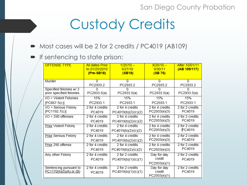### Custody Credits

- Most cases will be 2 for 2 credits / PC4019 (AB109)
- **If sentencing to state prison:**

| <b>OFFENSE TYPE</b>                                | <b>All dates Prior</b><br>to 01/25/2010<br>$(Pre-SB18)$ | $1/25/10 -$<br>9/27/10<br>(SB18)       | $9/28/10 -$<br>9/30/11<br>(SB76)      | After 10/01/11<br>(AB 109/117) |
|----------------------------------------------------|---------------------------------------------------------|----------------------------------------|---------------------------------------|--------------------------------|
| Murder                                             | <sup>0</sup>                                            | 0                                      | 0                                     | 0                              |
|                                                    | PC2933.2                                                | PC2933.2                               | PC2933.2                              | PC2933.2                       |
| Specified felonies w/2<br>prior specified felonies | PC2933.5(a)                                             | n<br>PC2933.5(a)                       | PC2933.5(a)                           | PC2933.5(a)                    |
| I/O = Violent Felonies                             | 15%                                                     | 15%                                    | 15%                                   | 15%                            |
| [PC667.5(c)]                                       | PC2933.1                                                | PC2933.1                               | PC2933.1                              | PC2933.1                       |
| I/O = Serious Felony                               | 2 for 4 credits                                         | 2 for 4 credits                        | 2 for 4 credits                       | 2 for 2 credits                |
| [PC1192.7(c)]                                      | PC4019                                                  | PC4019(b)(2)/(c)(2)                    | PC2933(e)(3)                          | PC4019                         |
| $I/O = 290$ offenses                               | 2 for 4 credits                                         | 2 for 4 credits                        | 2 for 4 credits                       | 2 for 2 credits                |
|                                                    | PC4019                                                  | PC4019(b)(2)/(c)(2)                    | PC2933(e)(3)                          | PC4019                         |
| Prior Violent Felony                               | 2 for 4 credits                                         | 2 for 4 credits                        | 2 for 4 credits                       | 2 for 2 credits                |
|                                                    | PC4019                                                  | PC4019(b)(2)/(c)(2)                    | PC2933(e)(3)                          | PC4019                         |
| Prior Serious Felony                               | 2 for 4 credits                                         | 2 for 4 credits                        | 2 for 4 credits                       | 2 for 2 credits                |
|                                                    | PC4019                                                  | PC4019(b)(2)/(c)(2)                    | PC2933(e)(3)                          | PC4019                         |
| Prior 290 offense                                  | 2 for 4 credits                                         | 2 for 4 credits                        | 2 for 4 credits                       | 2 for 2 credits                |
|                                                    | PC4019                                                  | PC4019(b)(2)/(c)(2)                    | PC2933(e)(3)                          | PC4019                         |
| Any other Felony                                   | 2 for 4 credits<br>PC4019                               | 2 for 2 credits<br>PC4019(b)(1)/(c)(1) | Day for day<br>credit<br>PC2933(e)(1) | 2 for 2 credits<br>PC4019      |
| Sentencing pursuant to<br>PC1170(h)(5)(A) or (B)   | 2 for 4 credits<br>PC4019                               | 2 for 2 credits<br>PC4019(b)(1)/(c)(1) | Day for day<br>credit<br>PC2933(e)(1) | 2 for 2 credits<br>PC4019      |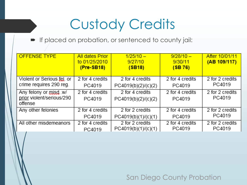## Custody Credits

If placed on probation, or sentenced to county jail:

| <b>OFFENSE TYPE</b>                                            | <b>All dates Prior</b><br>to 01/25/2010<br>$(Pre-SB18)$ | $1/25/10 -$<br>9/27/10<br>(SB18)       | $9/28/10 -$<br>9/30/11<br>(SB76) | After 10/01/11<br>(AB 109/117) |
|----------------------------------------------------------------|---------------------------------------------------------|----------------------------------------|----------------------------------|--------------------------------|
| Violent or Serious fel. or                                     | 2 for 4 credits                                         | 2 for 4 credits                        | 2 for 4 credits                  | 2 for 2 credits                |
| crime requires 290 reg.                                        | PC4019                                                  | PC4019(b)(2)/(c)(2)                    | PC4019                           | PC4019                         |
| Any felony or misd. w/<br>prior violent/serious/290<br>offense | 2 for 4 credits<br>PC4019                               | 2 for 4 credits<br>PC4019(b)(2)/(c)(2) | 2 for 4 credits<br>PC4019        | 2 for 2 credits<br>PC4019      |
| Any other felonies                                             | 2 for 4 credits                                         | 2 for 2 credits                        | 2 for 4 credits                  | 2 for 2 credits                |
|                                                                | PC4019                                                  | PC4019(b)(1)/(c)(1)                    | PC4019                           | PC4019                         |
| All other misdemeanors                                         | 2 for 4 credits                                         | 2 for 2 credits                        | 2 for 4 credits                  | 2 for 2 credits                |
|                                                                | PC4019                                                  | PC4019(b)(1)/(c)(1)                    | PC4019                           | PC4019                         |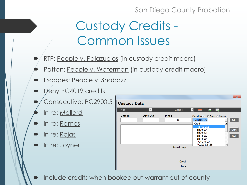#### Custody Credits - Common Issues

- RTP: People v. Palazuelos (in custody credit macro)
- Patton: People v. Waterman (in custody credit macro)
- Escapes: People v. Shabazz
- Deny PC4019 credits
- Consecutive: PC2900.5
	- In re: Mallard
- In re: Ramos
- In re: Rojas
- In re: Joyner

|                     |          |                                                 | $\mathbf{x}$                                                                                                                                                                      |
|---------------------|----------|-------------------------------------------------|-----------------------------------------------------------------------------------------------------------------------------------------------------------------------------------|
| <b>Custody Data</b> |          |                                                 |                                                                                                                                                                                   |
| File                | ▾        | Case1                                           | I.<br>لها<br>$\overline{\phantom{a}}$<br>▾║                                                                                                                                       |
| Date In             | Date Out | <b>Place</b><br><b>CJ</b><br><b>Actual Days</b> | Credits © Case O Period<br>AB109 2:2<br>Add<br><b>Credit</b><br>AB109 2:2<br>Edit<br>SB76 2:4<br>SB76 1:1<br>SB18 2:2<br><b>Del</b><br>SB18 2:4<br>PC4019 2:4<br>PC2933.1.15<br>▼ |
|                     |          | Credit<br><b>Total</b>                          |                                                                                                                                                                                   |

Include credits when booked out warrant out of county